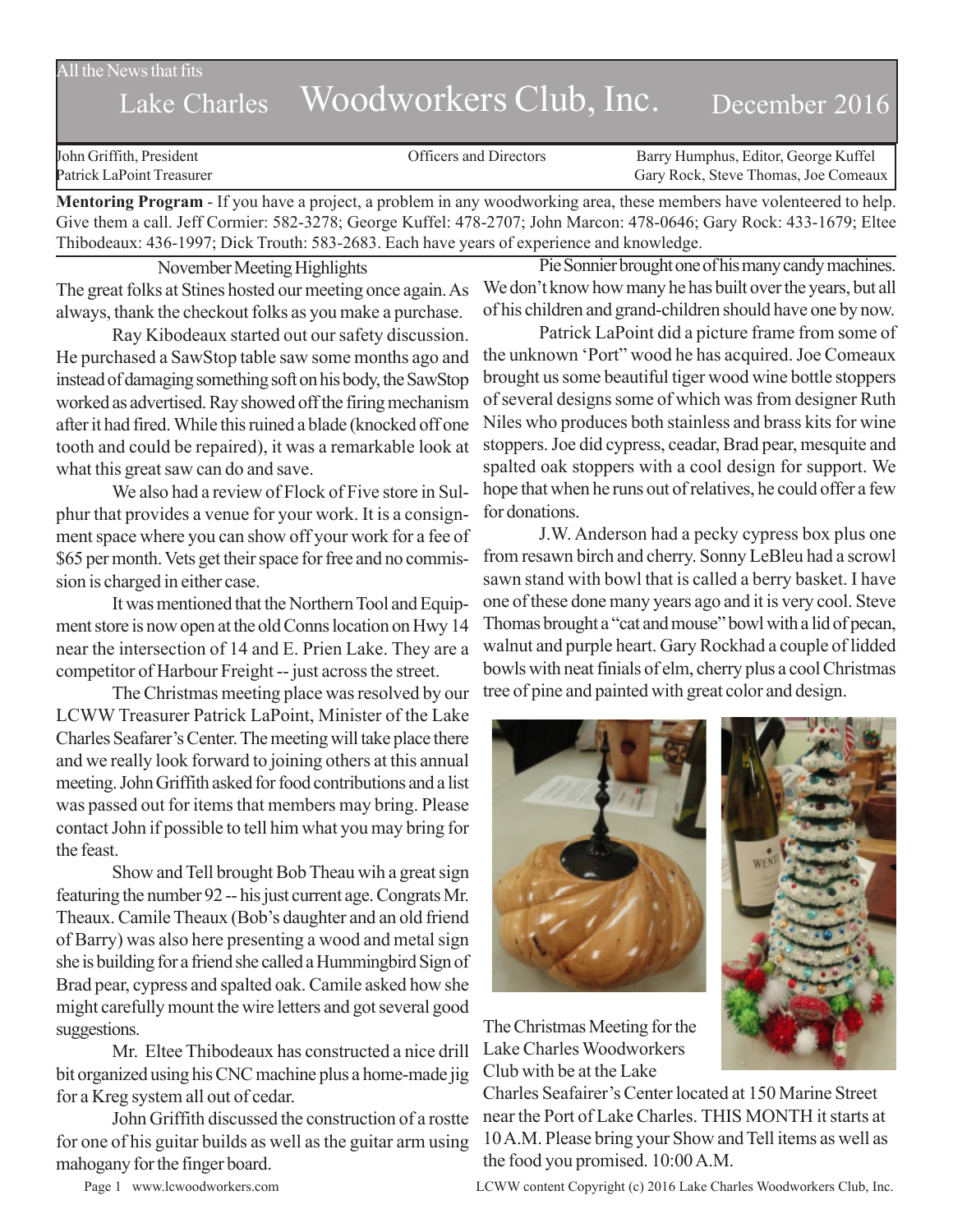All the News that fits

# Lake Charles Woodworkers Club, Inc. December 2016

John Griffith, President Officers and Directors Barry Humphus, Editor, George Kuffel Patrick LaPoint Treasurer Gary Rock, Steve Thomas, Joe Comeaux

**Mentoring Program** - If you have a project, a problem in any woodworking area, these members have volenteered to help. Give them a call. Jeff Cormier: 582-3278; George Kuffel: 478-2707; John Marcon: 478-0646; Gary Rock: 433-1679; Eltee Thibodeaux: 436-1997; Dick Trouth: 583-2683. Each have years of experience and knowledge.

November Meeting Highlights The great folks at Stines hosted our meeting once again. As always, thank the checkout folks as you make a purchase.

Ray Kibodeaux started out our safety discussion. He purchased a SawStop table saw some months ago and instead of damaging something soft on his body, the SawStop worked as advertised. Ray showed off the firing mechanism after it had fired. While this ruined a blade (knocked off one tooth and could be repaired), it was a remarkable look at what this great saw can do and save.

We also had a review of Flock of Five store in Sulphur that provides a venue for your work. It is a consignment space where you can show off your work for a fee of \$65 per month. Vets get their space for free and no commission is charged in either case.

It was mentioned that the Northern Tool and Equipment store is now open at the old Conns location on Hwy 14 near the intersection of 14 and E. Prien Lake. They are a competitor of Harbour Freight -- just across the street.

The Christmas meeting place was resolved by our LCWW Treasurer Patrick LaPoint, Minister of the Lake Charles Seafarer's Center. The meeting will take place there and we really look forward to joining others at this annual meeting. John Griffith asked for food contributions and a list was passed out for items that members may bring. Please contact John if possible to tell him what you may bring for the feast.

Show and Tell brought Bob Theau wih a great sign featuring the number 92 -- his just current age. Congrats Mr. Theaux. Camile Theaux (Bob's daughter and an old friend of Barry) was also here presenting a wood and metal sign she is building for a friend she called a Hummingbird Sign of Brad pear, cypress and spalted oak. Camile asked how she might carefully mount the wire letters and got several good suggestions.

Mr. Eltee Thibodeaux has constructed a nice drill bit organized using his CNC machine plus a home-made jig for a Kreg system all out of cedar.

John Griffith discussed the construction of a rostte for one of his guitar builds as well as the guitar arm using mahogany for the finger board.

Pie Sonnier brought one of his many candy machines. We don't know how many he has built over the years, but all of his children and grand-children should have one by now.

Patrick LaPoint did a picture frame from some of the unknown 'Port" wood he has acquired. Joe Comeaux brought us some beautiful tiger wood wine bottle stoppers of several designs some of which was from designer Ruth Niles who produces both stainless and brass kits for wine stoppers. Joe did cypress, ceadar, Brad pear, mesquite and spalted oak stoppers with a cool design for support. We hope that when he runs out of relatives, he could offer a few for donations.

J.W. Anderson had a pecky cypress box plus one from resawn birch and cherry. Sonny LeBleu had a scrowl sawn stand with bowl that is called a berry basket. I have one of these done many years ago and it is very cool. Steve Thomas brought a "cat and mouse" bowl with a lid of pecan, walnut and purple heart. Gary Rockhad a couple of lidded bowls with neat finials of elm, cherry plus a cool Christmas tree of pine and painted with great color and design.





The Christmas Meeting for the Lake Charles Woodworkers Club with be at the Lake

Charles Seafairer's Center located at 150 Marine Street near the Port of Lake Charles. THIS MONTH it starts at 10 A.M. Please bring your Show and Tell items as well as the food you promised. 10:00 A.M.

Page 1 www.lcwoodworkers.com LCWW content Copyright (c) 2016 Lake Charles Woodworkers Club, Inc.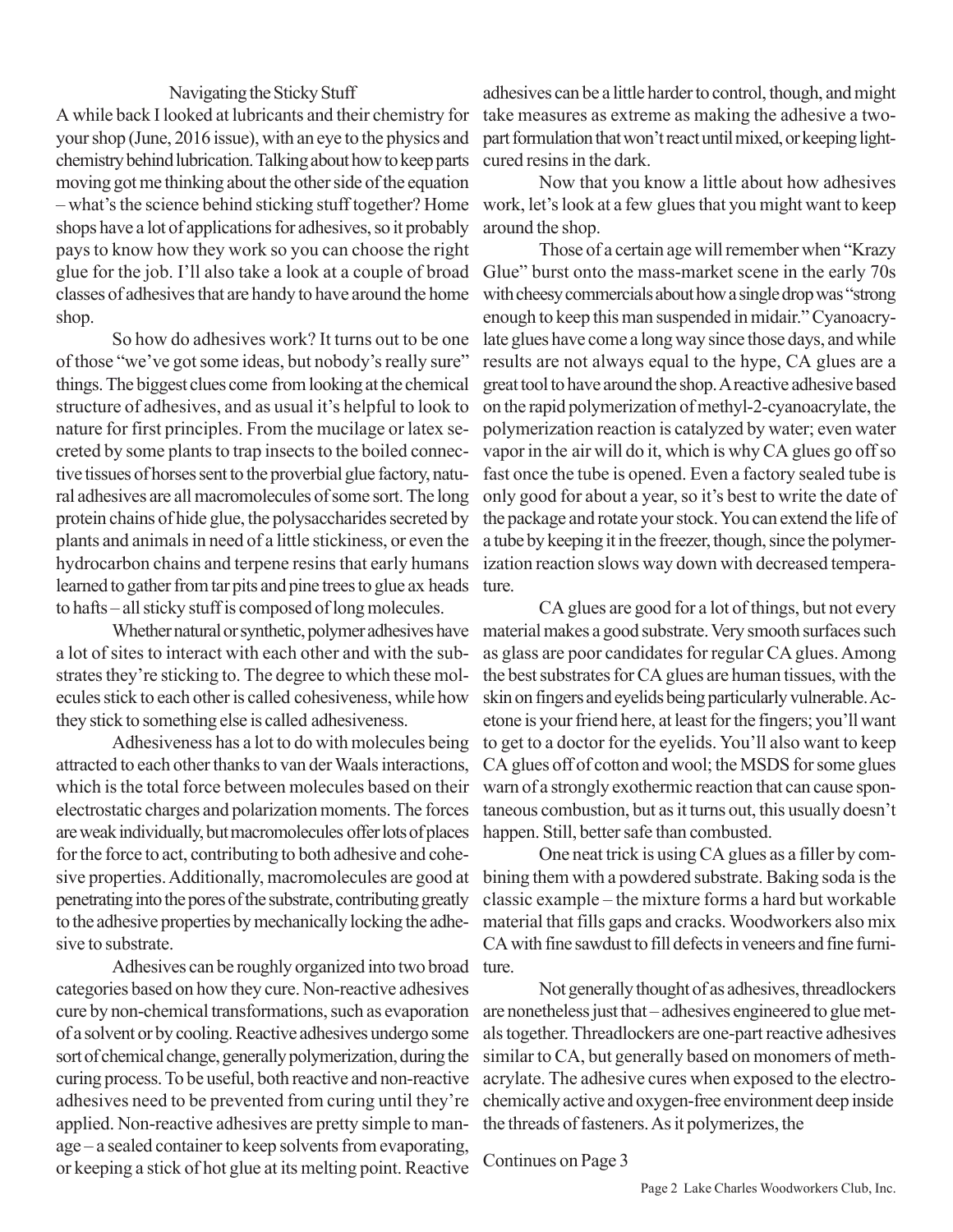### Navigating the Sticky Stuff

A while back I looked at lubricants and their chemistry for your shop (June, 2016 issue), with an eye to the physics and chemistry behind lubrication. Talking about how to keep parts moving got me thinking about the other side of the equation – what's the science behind sticking stuff together? Home shops have a lot of applications for adhesives, so it probably pays to know how they work so you can choose the right glue for the job. I'll also take a look at a couple of broad classes of adhesives that are handy to have around the home shop.

So how do adhesives work? It turns out to be one of those "we've got some ideas, but nobody's really sure" things. The biggest clues come from looking at the chemical structure of adhesives, and as usual it's helpful to look to nature for first principles. From the mucilage or latex secreted by some plants to trap insects to the boiled connective tissues of horses sent to the proverbial glue factory, natural adhesives are all macromolecules of some sort. The long protein chains of hide glue, the polysaccharides secreted by plants and animals in need of a little stickiness, or even the hydrocarbon chains and terpene resins that early humans learned to gather from tar pits and pine trees to glue ax heads to hafts – all sticky stuff is composed of long molecules.

Whether natural or synthetic, polymer adhesives have a lot of sites to interact with each other and with the substrates they're sticking to. The degree to which these molecules stick to each other is called cohesiveness, while how they stick to something else is called adhesiveness.

Adhesiveness has a lot to do with molecules being attracted to each other thanks to van der Waals interactions, which is the total force between molecules based on their electrostatic charges and polarization moments. The forces are weak individually, but macromolecules offer lots of places for the force to act, contributing to both adhesive and cohesive properties. Additionally, macromolecules are good at penetrating into the pores of the substrate, contributing greatly to the adhesive properties by mechanically locking the adhesive to substrate.

Adhesives can be roughly organized into two broad categories based on how they cure. Non-reactive adhesives cure by non-chemical transformations, such as evaporation of a solvent or by cooling. Reactive adhesives undergo some sort of chemical change, generally polymerization, during the curing process. To be useful, both reactive and non-reactive adhesives need to be prevented from curing until they're applied. Non-reactive adhesives are pretty simple to manage – a sealed container to keep solvents from evaporating, or keeping a stick of hot glue at its melting point. Reactive

adhesives can be a little harder to control, though, and might take measures as extreme as making the adhesive a twopart formulation that won't react until mixed, or keeping lightcured resins in the dark.

Now that you know a little about how adhesives work, let's look at a few glues that you might want to keep around the shop.

Those of a certain age will remember when "Krazy Glue" burst onto the mass-market scene in the early 70s with cheesy commercials about how a single drop was "strong enough to keep this man suspended in midair." Cyanoacrylate glues have come a long way since those days, and while results are not always equal to the hype, CA glues are a great tool to have around the shop. A reactive adhesive based on the rapid polymerization of methyl-2-cyanoacrylate, the polymerization reaction is catalyzed by water; even water vapor in the air will do it, which is why CA glues go off so fast once the tube is opened. Even a factory sealed tube is only good for about a year, so it's best to write the date of the package and rotate your stock. You can extend the life of a tube by keeping it in the freezer, though, since the polymerization reaction slows way down with decreased temperature.

CA glues are good for a lot of things, but not every material makes a good substrate. Very smooth surfaces such as glass are poor candidates for regular CA glues. Among the best substrates for CA glues are human tissues, with the skin on fingers and eyelids being particularly vulnerable. Acetone is your friend here, at least for the fingers; you'll want to get to a doctor for the eyelids. You'll also want to keep CA glues off of cotton and wool; the MSDS for some glues warn of a strongly exothermic reaction that can cause spontaneous combustion, but as it turns out, this usually doesn't happen. Still, better safe than combusted.

One neat trick is using CA glues as a filler by combining them with a powdered substrate. Baking soda is the classic example – the mixture forms a hard but workable material that fills gaps and cracks. Woodworkers also mix CA with fine sawdust to fill defects in veneers and fine furniture.

Not generally thought of as adhesives, threadlockers are nonetheless just that – adhesives engineered to glue metals together. Threadlockers are one-part reactive adhesives similar to CA, but generally based on monomers of methacrylate. The adhesive cures when exposed to the electrochemically active and oxygen-free environment deep inside the threads of fasteners. As it polymerizes, the

Continues on Page 3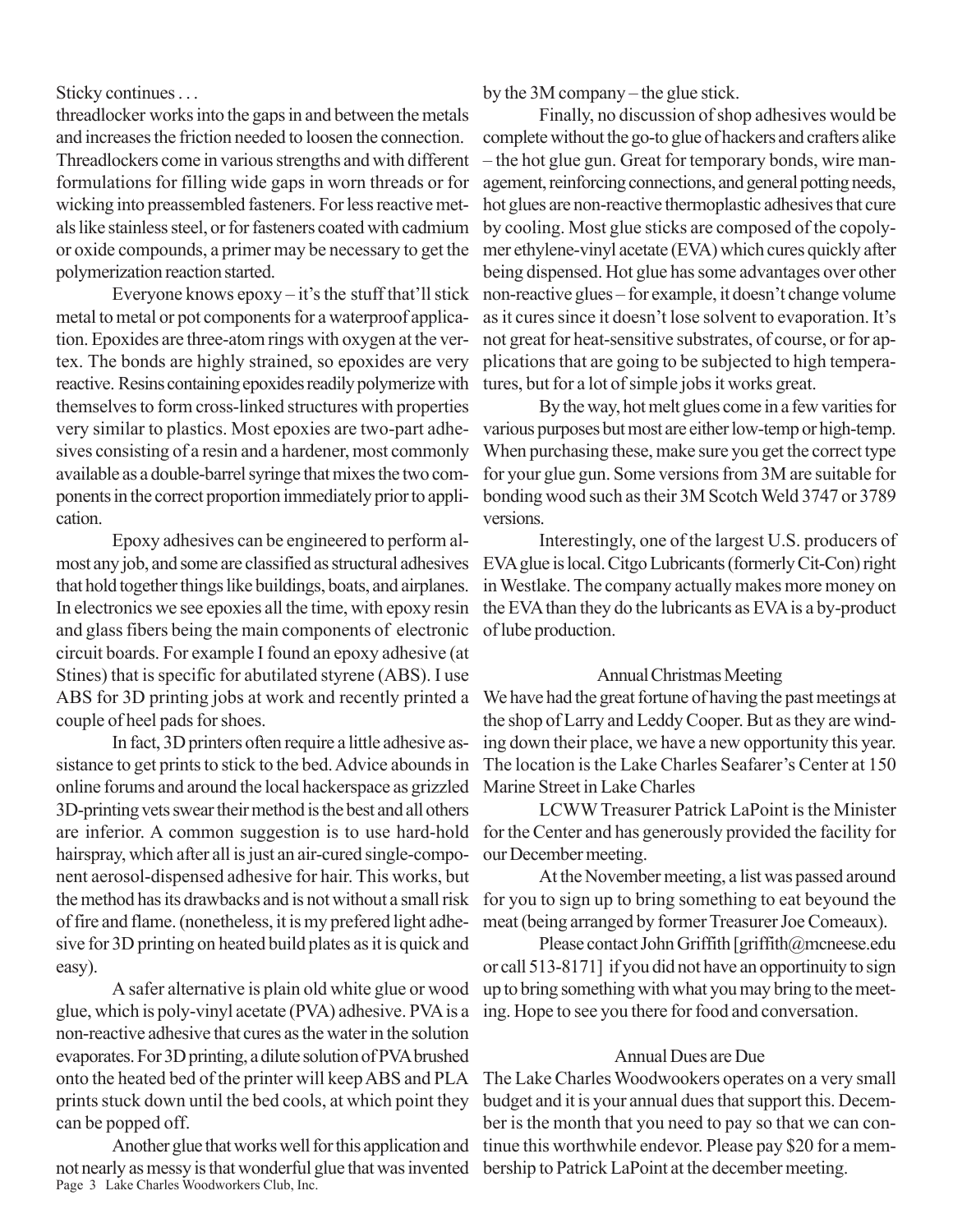Sticky continues . . .

threadlocker works into the gaps in and between the metals and increases the friction needed to loosen the connection. Threadlockers come in various strengths and with different formulations for filling wide gaps in worn threads or for wicking into preassembled fasteners. For less reactive metals like stainless steel, or for fasteners coated with cadmium or oxide compounds, a primer may be necessary to get the polymerization reaction started.

Everyone knows epoxy – it's the stuff that'll stick metal to metal or pot components for a waterproof application. Epoxides are three-atom rings with oxygen at the vertex. The bonds are highly strained, so epoxides are very reactive. Resins containing epoxides readily polymerize with themselves to form cross-linked structures with properties very similar to plastics. Most epoxies are two-part adhesives consisting of a resin and a hardener, most commonly available as a double-barrel syringe that mixes the two components in the correct proportion immediately prior to application.

Epoxy adhesives can be engineered to perform almost any job, and some are classified as structural adhesives that hold together things like buildings, boats, and airplanes. In electronics we see epoxies all the time, with epoxy resin and glass fibers being the main components of electronic circuit boards. For example I found an epoxy adhesive (at Stines) that is specific for abutilated styrene (ABS). I use ABS for 3D printing jobs at work and recently printed a couple of heel pads for shoes.

In fact, 3D printers often require a little adhesive assistance to get prints to stick to the bed. Advice abounds in online forums and around the local hackerspace as grizzled 3D-printing vets swear their method is the best and all others are inferior. A common suggestion is to use hard-hold hairspray, which after all is just an air-cured single-component aerosol-dispensed adhesive for hair. This works, but the method has its drawbacks and is not without a small risk of fire and flame. (nonetheless, it is my prefered light adhesive for 3D printing on heated build plates as it is quick and easy).

A safer alternative is plain old white glue or wood glue, which is poly-vinyl acetate (PVA) adhesive. PVA is a non-reactive adhesive that cures as the water in the solution evaporates. For 3D printing, a dilute solution of PVA brushed onto the heated bed of the printer will keep ABS and PLA prints stuck down until the bed cools, at which point they can be popped off.

Page 3 Lake Charles Woodworkers Club, Inc. Another glue that works well for this application and not nearly as messy is that wonderful glue that was invented

by the 3M company – the glue stick.

Finally, no discussion of shop adhesives would be complete without the go-to glue of hackers and crafters alike – the hot glue gun. Great for temporary bonds, wire management, reinforcing connections, and general potting needs, hot glues are non-reactive thermoplastic adhesives that cure by cooling. Most glue sticks are composed of the copolymer ethylene-vinyl acetate (EVA) which cures quickly after being dispensed. Hot glue has some advantages over other non-reactive glues – for example, it doesn't change volume as it cures since it doesn't lose solvent to evaporation. It's not great for heat-sensitive substrates, of course, or for applications that are going to be subjected to high temperatures, but for a lot of simple jobs it works great.

By the way, hot melt glues come in a few varities for various purposes but most are either low-temp or high-temp. When purchasing these, make sure you get the correct type for your glue gun. Some versions from 3M are suitable for bonding wood such as their 3M Scotch Weld 3747 or 3789 versions.

Interestingly, one of the largest U.S. producers of EVA glue is local. Citgo Lubricants (formerly Cit-Con) right in Westlake. The company actually makes more money on the EVA than they do the lubricants as EVA is a by-product of lube production.

#### Annual Christmas Meeting

We have had the great fortune of having the past meetings at the shop of Larry and Leddy Cooper. But as they are winding down their place, we have a new opportunity this year. The location is the Lake Charles Seafarer's Center at 150 Marine Street in Lake Charles

LCWW Treasurer Patrick LaPoint is the Minister for the Center and has generously provided the facility for our December meeting.

At the November meeting, a list was passed around for you to sign up to bring something to eat beyound the meat (being arranged by former Treasurer Joe Comeaux).

Please contact John Griffith [griffith@mcneese.edu or call 513-8171] if you did not have an opportinuity to sign up to bring something with what you may bring to the meeting. Hope to see you there for food and conversation.

## Annual Dues are Due

The Lake Charles Woodwookers operates on a very small budget and it is your annual dues that support this. December is the month that you need to pay so that we can continue this worthwhile endevor. Please pay \$20 for a membership to Patrick LaPoint at the december meeting.